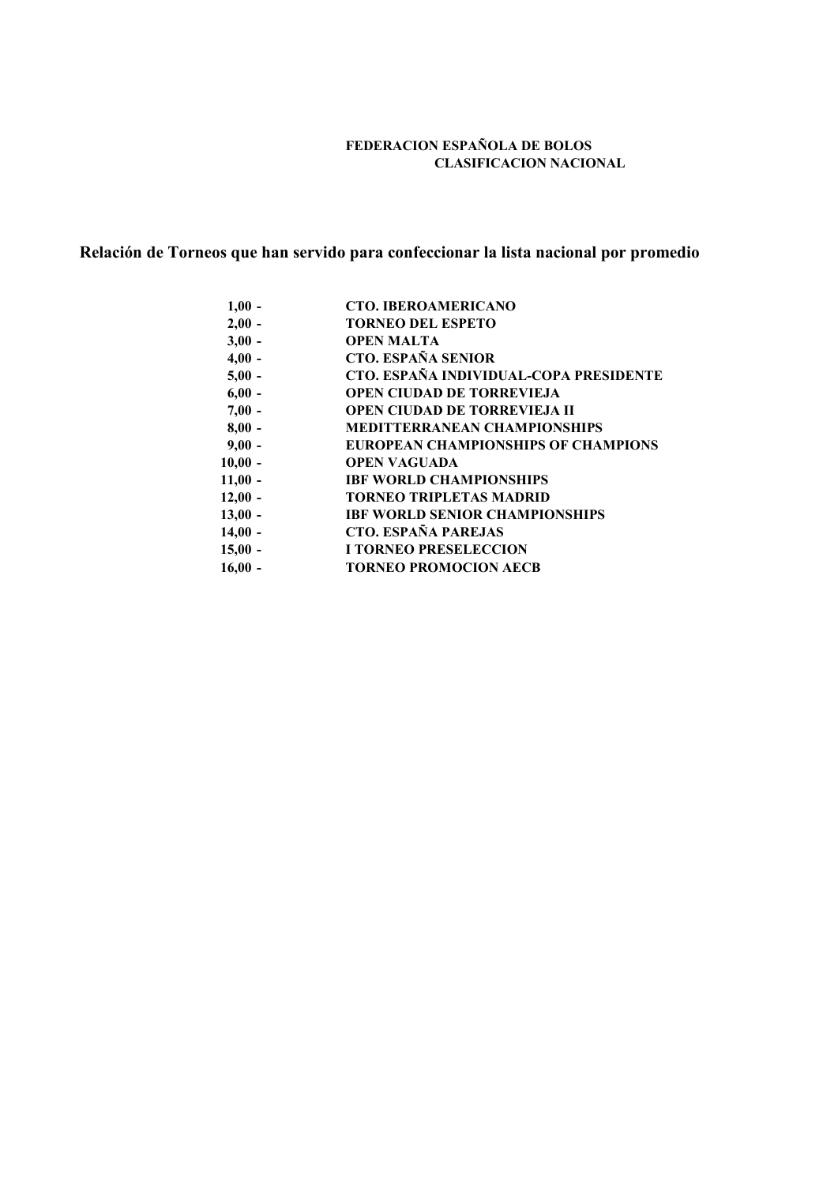## **FEDERACION ESPAÑOLA DE BOLOS CLASIFICACION NACIONAL**

# **Relación de Torneos que han servido para confeccionar la lista nacional por promedio**

| $1,00 -$  | <b>CTO. IBEROAMERICANO</b>                 |
|-----------|--------------------------------------------|
| $2,00 -$  | <b>TORNEO DEL ESPETO</b>                   |
| $3,00 -$  | <b>OPEN MALTA</b>                          |
| $4,00 -$  | <b>CTO. ESPAÑA SENIOR</b>                  |
| $5,00 -$  | CTO. ESPAÑA INDIVIDUAL-COPA PRESIDENTE     |
| $6,00 -$  | <b>OPEN CIUDAD DE TORREVIEJA</b>           |
| $7,00 -$  | <b>OPEN CIUDAD DE TORREVIEJA II</b>        |
| $8,00 -$  | <b>MEDITTERRANEAN CHAMPIONSHIPS</b>        |
| $9,00 -$  | <b>EUROPEAN CHAMPIONSHIPS OF CHAMPIONS</b> |
| $10,00 -$ | <b>OPEN VAGUADA</b>                        |
| $11,00 -$ | <b>IBF WORLD CHAMPIONSHIPS</b>             |
| $12,00 -$ | <b>TORNEO TRIPLETAS MADRID</b>             |
| $13,00 -$ | <b>IBF WORLD SENIOR CHAMPIONSHIPS</b>      |
| $14,00 -$ | <b>CTO. ESPAÑA PAREJAS</b>                 |
| $15,00 -$ | <b>I TORNEO PRESELECCION</b>               |
| $16,00 -$ | <b>TORNEO PROMOCION AECB</b>               |
|           |                                            |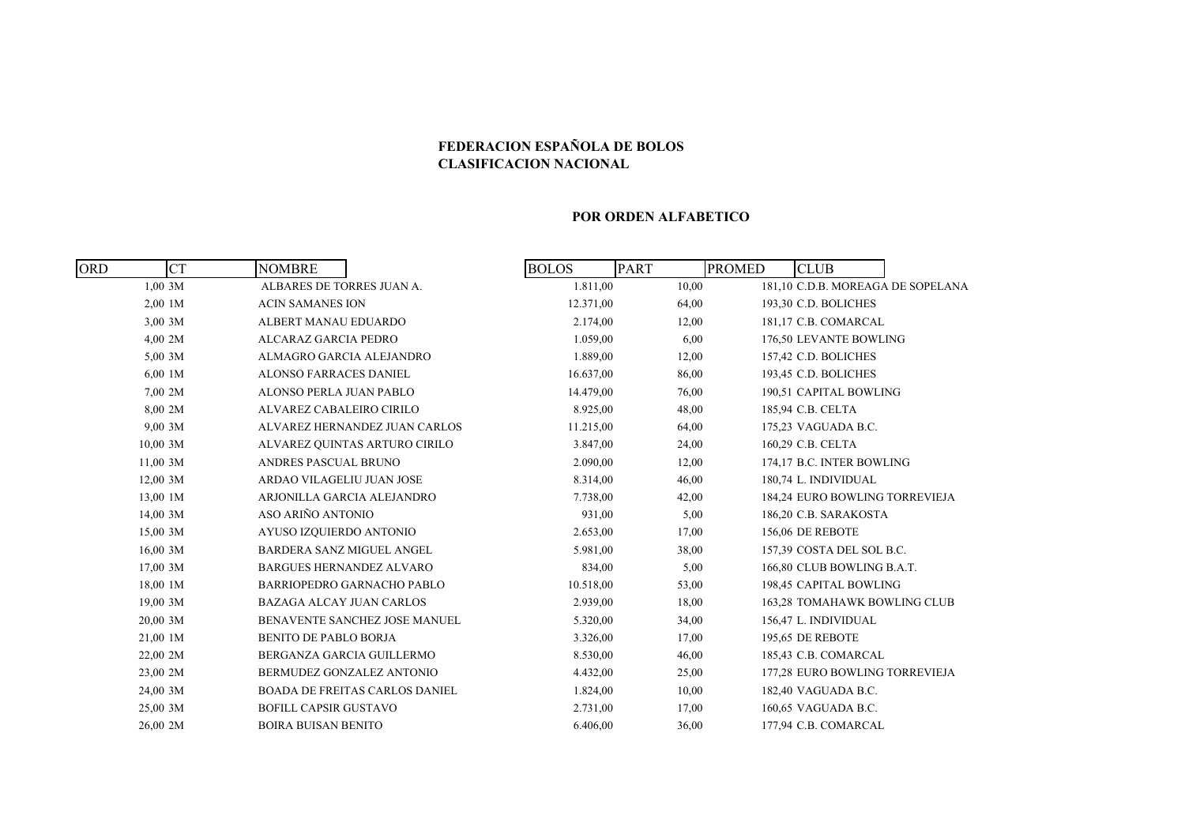## **FEDERACION ESPAÑOLA DE BOLOS CLASIFICACION NACIONAL**

#### **POR ORDEN ALFABETICO**

| <b>ORD</b> | <b>CT</b><br><b>NOMBRE</b>       |                                       | <b>BOLOS</b> | <b>PART</b> | <b>PROMED</b> | <b>CLUB</b>                       |  |
|------------|----------------------------------|---------------------------------------|--------------|-------------|---------------|-----------------------------------|--|
| 1,00,3M    | ALBARES DE TORRES JUAN A.        |                                       | 1.811,00     | 10,00       |               | 181,10 C.D.B. MOREAGA DE SOPELANA |  |
| 2,00 1M    | <b>ACIN SAMANES ION</b>          |                                       | 12.371,00    | 64,00       |               | 193,30 C.D. BOLICHES              |  |
| 3,00 3M    | ALBERT MANAU EDUARDO             |                                       | 2.174,00     | 12,00       |               | 181,17 C.B. COMARCAL              |  |
| 4,00 2M    | <b>ALCARAZ GARCIA PEDRO</b>      |                                       | 1.059,00     | 6,00        |               | 176,50 LEVANTE BOWLING            |  |
| 5,00,3M    | ALMAGRO GARCIA ALEJANDRO         |                                       | 1.889,00     | 12,00       |               | 157,42 C.D. BOLICHES              |  |
| $6,00$ 1M  | <b>ALONSO FARRACES DANIEL</b>    |                                       | 16.637,00    | 86,00       |               | 193,45 C.D. BOLICHES              |  |
| 7,00 2M    | ALONSO PERLA JUAN PABLO          |                                       | 14.479,00    | 76,00       |               | 190,51 CAPITAL BOWLING            |  |
| 8,00 2M    | ALVAREZ CABALEIRO CIRILO         |                                       | 8.925,00     | 48,00       |               | 185,94 C.B. CELTA                 |  |
| $9,00$ 3M  |                                  | ALVAREZ HERNANDEZ JUAN CARLOS         | 11.215,00    | 64,00       |               | 175,23 VAGUADA B.C.               |  |
| $10,00$ 3M |                                  | ALVAREZ QUINTAS ARTURO CIRILO         | 3.847,00     | 24,00       |               | 160,29 C.B. CELTA                 |  |
| $11,00$ 3M | ANDRES PASCUAL BRUNO             |                                       | 2.090,00     | 12,00       |               | 174,17 B.C. INTER BOWLING         |  |
| 12,00 3M   | ARDAO VILAGELIU JUAN JOSE        |                                       | 8.314,00     | 46,00       |               | 180.74 L. INDIVIDUAL              |  |
| 13,00 1M   |                                  | ARJONILLA GARCIA ALEJANDRO            | 7.738,00     | 42,00       |               | 184,24 EURO BOWLING TORREVIEJA    |  |
| $14,00$ 3M | ASO ARIÑO ANTONIO                |                                       | 931,00       | 5,00        |               | 186,20 C.B. SARAKOSTA             |  |
| 15,00 3M   | AYUSO IZQUIERDO ANTONIO          |                                       | 2.653,00     | 17,00       |               | <b>156,06 DE REBOTE</b>           |  |
| $16,00$ 3M | <b>BARDERA SANZ MIGUEL ANGEL</b> |                                       | 5.981,00     | 38,00       |               | 157,39 COSTA DEL SOL B.C.         |  |
| 17,00 3M   | <b>BARGUES HERNANDEZ ALVARO</b>  |                                       | 834,00       | 5,00        |               | 166,80 CLUB BOWLING B.A.T.        |  |
| 18,00 1M   |                                  | <b>BARRIOPEDRO GARNACHO PABLO</b>     | 10.518,00    | 53,00       |               | 198,45 CAPITAL BOWLING            |  |
| 19,00 3M   | <b>BAZAGA ALCAY JUAN CARLOS</b>  |                                       | 2.939,00     | 18,00       |               | 163,28 TOMAHAWK BOWLING CLUB      |  |
| 20,00 3M   |                                  | BENAVENTE SANCHEZ JOSE MANUEL         | 5.320,00     | 34,00       |               | 156,47 L. INDIVIDUAL              |  |
| 21,00 1M   | <b>BENITO DE PABLO BORJA</b>     |                                       | 3.326,00     | 17,00       |               | 195,65 DE REBOTE                  |  |
| 22,00 2M   |                                  | BERGANZA GARCIA GUILLERMO             | 8.530,00     | 46,00       |               | 185,43 C.B. COMARCAL              |  |
| 23,00 2M   |                                  | BERMUDEZ GONZALEZ ANTONIO             | 4.432,00     | 25,00       |               | 177,28 EURO BOWLING TORREVIEJA    |  |
| 24,00 3M   |                                  | <b>BOADA DE FREITAS CARLOS DANIEL</b> | 1.824,00     | 10,00       |               | 182,40 VAGUADA B.C.               |  |
| 25,00 3M   | <b>BOFILL CAPSIR GUSTAVO</b>     |                                       | 2.731,00     | 17,00       |               | 160,65 VAGUADA B.C.               |  |
| 26,00 2M   | <b>BOIRA BUISAN BENITO</b>       |                                       | 6.406,00     | 36,00       |               | 177,94 C.B. COMARCAL              |  |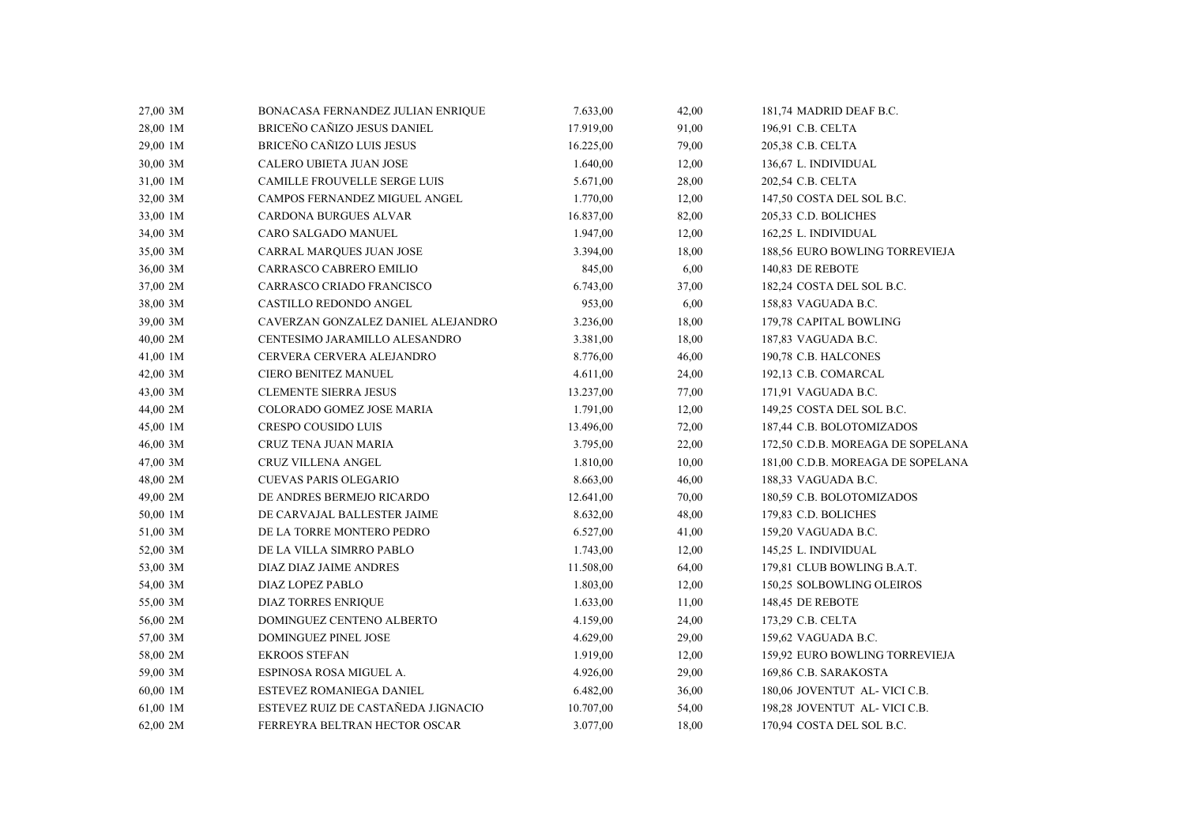| 27,00 3M | BONACASA FERNANDEZ JULIAN ENRIQUE   | 7.633,00  | 42,00 | 181,74 MADRID DEAF B.C.           |
|----------|-------------------------------------|-----------|-------|-----------------------------------|
| 28,00 1M | BRICEÑO CAÑIZO JESUS DANIEL         | 17.919,00 | 91,00 | 196,91 C.B. CELTA                 |
| 29,00 1M | BRICEÑO CAÑIZO LUIS JESUS           | 16.225,00 | 79,00 | 205,38 C.B. CELTA                 |
| 30,00 3M | CALERO UBIETA JUAN JOSE             | 1.640,00  | 12,00 | 136,67 L. INDIVIDUAL              |
| 31,00 1M | CAMILLE FROUVELLE SERGE LUIS        | 5.671,00  | 28,00 | 202,54 C.B. CELTA                 |
| 32,00 3M | CAMPOS FERNANDEZ MIGUEL ANGEL       | 1.770,00  | 12,00 | 147,50 COSTA DEL SOL B.C.         |
| 33,00 1M | <b>CARDONA BURGUES ALVAR</b>        | 16.837,00 | 82,00 | 205,33 C.D. BOLICHES              |
| 34,00 3M | CARO SALGADO MANUEL                 | 1.947,00  | 12,00 | 162,25 L. INDIVIDUAL              |
| 35,00 3M | CARRAL MARQUES JUAN JOSE            | 3.394,00  | 18,00 | 188,56 EURO BOWLING TORREVIEJA    |
| 36,00 3M | CARRASCO CABRERO EMILIO             | 845,00    | 6,00  | 140,83 DE REBOTE                  |
| 37,00 2M | CARRASCO CRIADO FRANCISCO           | 6.743,00  | 37,00 | 182,24 COSTA DEL SOL B.C.         |
| 38,00 3M | CASTILLO REDONDO ANGEL              | 953,00    | 6,00  | 158,83 VAGUADA B.C.               |
| 39,00 3M | CAVERZAN GONZALEZ DANIEL ALEJANDRO  | 3.236,00  | 18,00 | 179,78 CAPITAL BOWLING            |
| 40,00 2M | CENTESIMO JARAMILLO ALESANDRO       | 3.381,00  | 18,00 | 187,83 VAGUADA B.C.               |
| 41,00 1M | CERVERA CERVERA ALEJANDRO           | 8.776,00  | 46,00 | 190,78 C.B. HALCONES              |
| 42,00 3M | <b>CIERO BENITEZ MANUEL</b>         | 4.611,00  | 24,00 | 192,13 C.B. COMARCAL              |
| 43,00 3M | <b>CLEMENTE SIERRA JESUS</b>        | 13.237,00 | 77,00 | 171,91 VAGUADA B.C.               |
| 44,00 2M | COLORADO GOMEZ JOSE MARIA           | 1.791,00  | 12,00 | 149,25 COSTA DEL SOL B.C.         |
| 45,00 1M | <b>CRESPO COUSIDO LUIS</b>          | 13.496,00 | 72,00 | 187,44 C.B. BOLOTOMIZADOS         |
| 46,00 3M | CRUZ TENA JUAN MARIA                | 3.795,00  | 22,00 | 172,50 C.D.B. MOREAGA DE SOPELANA |
| 47,00 3M | CRUZ VILLENA ANGEL                  | 1.810,00  | 10,00 | 181,00 C.D.B. MOREAGA DE SOPELANA |
| 48,00 2M | <b>CUEVAS PARIS OLEGARIO</b>        | 8.663,00  | 46,00 | 188,33 VAGUADA B.C.               |
| 49,00 2M | DE ANDRES BERMEJO RICARDO           | 12.641,00 | 70,00 | 180,59 C.B. BOLOTOMIZADOS         |
| 50,00 1M | DE CARVAJAL BALLESTER JAIME         | 8.632,00  | 48,00 | 179,83 C.D. BOLICHES              |
| 51,00 3M | DE LA TORRE MONTERO PEDRO           | 6.527,00  | 41,00 | 159,20 VAGUADA B.C.               |
| 52,00 3M | DE LA VILLA SIMRRO PABLO            | 1.743,00  | 12,00 | 145,25 L. INDIVIDUAL              |
| 53,00 3M | DIAZ DIAZ JAIME ANDRES              | 11.508,00 | 64,00 | 179,81 CLUB BOWLING B.A.T.        |
| 54,00 3M | DIAZ LOPEZ PABLO                    | 1.803,00  | 12,00 | 150,25 SOLBOWLING OLEIROS         |
| 55,00 3M | <b>DIAZ TORRES ENRIQUE</b>          | 1.633,00  | 11,00 | 148,45 DE REBOTE                  |
| 56,00 2M | DOMINGUEZ CENTENO ALBERTO           | 4.159,00  | 24,00 | 173,29 C.B. CELTA                 |
| 57,00 3M | DOMINGUEZ PINEL JOSE                | 4.629,00  | 29,00 | 159,62 VAGUADA B.C.               |
| 58,00 2M | <b>EKROOS STEFAN</b>                | 1.919,00  | 12,00 | 159,92 EURO BOWLING TORREVIEJA    |
| 59,00 3M | ESPINOSA ROSA MIGUEL A.             | 4.926,00  | 29,00 | 169,86 C.B. SARAKOSTA             |
| 60,00 1M | ESTEVEZ ROMANIEGA DANIEL            | 6.482,00  | 36,00 | 180,06 JOVENTUT AL- VICI C.B.     |
| 61,00 1M | ESTEVEZ RUIZ DE CASTAÑEDA J.IGNACIO | 10.707,00 | 54,00 | 198,28 JOVENTUT AL- VICI C.B.     |
| 62,00 2M | FERREYRA BELTRAN HECTOR OSCAR       | 3.077,00  | 18,00 | 170,94 COSTA DEL SOL B.C.         |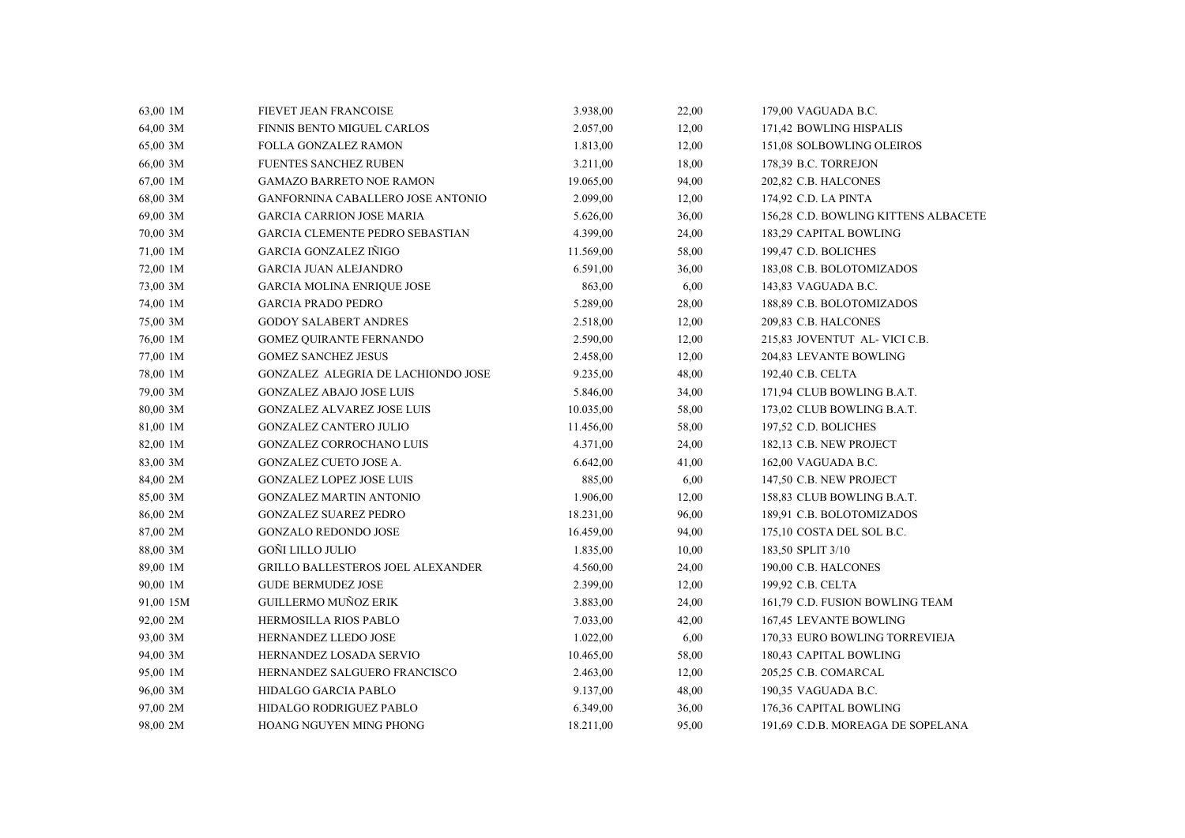| 63,00 1M  | FIEVET JEAN FRANCOISE                    | 3.938,00  | 22,00 | 179,00 VAGUADA B.C.                  |
|-----------|------------------------------------------|-----------|-------|--------------------------------------|
| 64,00 3M  | FINNIS BENTO MIGUEL CARLOS               | 2.057,00  | 12,00 | 171,42 BOWLING HISPALIS              |
| 65,00 3M  | FOLLA GONZALEZ RAMON                     | 1.813,00  | 12,00 | 151,08 SOLBOWLING OLEIROS            |
| 66,00 3M  | <b>FUENTES SANCHEZ RUBEN</b>             | 3.211,00  | 18,00 | 178,39 B.C. TORREJON                 |
| 67,00 1M  | GAMAZO BARRETO NOE RAMON                 | 19.065,00 | 94,00 | 202,82 C.B. HALCONES                 |
| 68,00 3M  | GANFORNINA CABALLERO JOSE ANTONIO        | 2.099,00  | 12,00 | 174,92 C.D. LA PINTA                 |
| 69,00 3M  | <b>GARCIA CARRION JOSE MARIA</b>         | 5.626,00  | 36,00 | 156,28 C.D. BOWLING KITTENS ALBACETE |
| 70,00 3M  | <b>GARCIA CLEMENTE PEDRO SEBASTIAN</b>   | 4.399,00  | 24,00 | 183,29 CAPITAL BOWLING               |
| 71,00 1M  | <b>GARCIA GONZALEZ IÑIGO</b>             | 11.569,00 | 58,00 | 199,47 C.D. BOLICHES                 |
| 72,00 1M  | <b>GARCIA JUAN ALEJANDRO</b>             | 6.591,00  | 36,00 | 183,08 C.B. BOLOTOMIZADOS            |
| 73,00 3M  | <b>GARCIA MOLINA ENRIQUE JOSE</b>        | 863,00    | 6,00  | 143,83 VAGUADA B.C.                  |
| 74,00 1M  | <b>GARCIA PRADO PEDRO</b>                | 5.289,00  | 28,00 | 188,89 C.B. BOLOTOMIZADOS            |
| 75,00 3M  | <b>GODOY SALABERT ANDRES</b>             | 2.518,00  | 12,00 | 209,83 C.B. HALCONES                 |
| 76,00 1M  | <b>GOMEZ QUIRANTE FERNANDO</b>           | 2.590,00  | 12,00 | 215,83 JOVENTUT AL-VICI C.B.         |
| 77,00 1M  | <b>GOMEZ SANCHEZ JESUS</b>               | 2.458,00  | 12,00 | 204,83 LEVANTE BOWLING               |
| 78,00 1M  | GONZALEZ ALEGRIA DE LACHIONDO JOSE       | 9.235,00  | 48,00 | 192,40 C.B. CELTA                    |
| 79,00 3M  | <b>GONZALEZ ABAJO JOSE LUIS</b>          | 5.846,00  | 34,00 | 171,94 CLUB BOWLING B.A.T.           |
| 80,00 3M  | <b>GONZALEZ ALVAREZ JOSE LUIS</b>        | 10.035,00 | 58,00 | 173,02 CLUB BOWLING B.A.T.           |
| 81,00 1M  | <b>GONZALEZ CANTERO JULIO</b>            | 11.456,00 | 58,00 | 197,52 C.D. BOLICHES                 |
| 82,00 1M  | GONZALEZ CORROCHANO LUIS                 | 4.371,00  | 24,00 | 182,13 C.B. NEW PROJECT              |
| 83,00 3M  | GONZALEZ CUETO JOSE A.                   | 6.642,00  | 41,00 | 162,00 VAGUADA B.C.                  |
| 84,00 2M  | <b>GONZALEZ LOPEZ JOSE LUIS</b>          | 885,00    | 6,00  | 147,50 C.B. NEW PROJECT              |
| 85,00 3M  | <b>GONZALEZ MARTIN ANTONIO</b>           | 1.906,00  | 12,00 | 158,83 CLUB BOWLING B.A.T.           |
| 86,00 2M  | <b>GONZALEZ SUAREZ PEDRO</b>             | 18.231,00 | 96,00 | 189,91 C.B. BOLOTOMIZADOS            |
| 87,00 2M  | <b>GONZALO REDONDO JOSE</b>              | 16.459,00 | 94,00 | 175,10 COSTA DEL SOL B.C.            |
| 88,00 3M  | GOÑI LILLO JULIO                         | 1.835,00  | 10,00 | 183,50 SPLIT 3/10                    |
| 89,00 1M  | <b>GRILLO BALLESTEROS JOEL ALEXANDER</b> | 4.560,00  | 24,00 | 190,00 C.B. HALCONES                 |
| 90,00 1M  | <b>GUDE BERMUDEZ JOSE</b>                | 2.399,00  | 12,00 | 199,92 C.B. CELTA                    |
| 91,00 15M | <b>GUILLERMO MUÑOZ ERIK</b>              | 3.883,00  | 24,00 | 161,79 C.D. FUSION BOWLING TEAM      |
| 92,00 2M  | HERMOSILLA RIOS PABLO                    | 7.033,00  | 42,00 | 167,45 LEVANTE BOWLING               |
| 93,00 3M  | HERNANDEZ LLEDO JOSE                     | 1.022,00  | 6,00  | 170,33 EURO BOWLING TORREVIEJA       |
| 94,00 3M  | HERNANDEZ LOSADA SERVIO                  | 10.465,00 | 58,00 | 180,43 CAPITAL BOWLING               |
| 95,00 1M  | HERNANDEZ SALGUERO FRANCISCO             | 2.463,00  | 12,00 | 205,25 C.B. COMARCAL                 |
| 96,00 3M  | HIDALGO GARCIA PABLO                     | 9.137,00  | 48,00 | 190,35 VAGUADA B.C.                  |
| 97,00 2M  | HIDALGO RODRIGUEZ PABLO                  | 6.349,00  | 36,00 | 176,36 CAPITAL BOWLING               |
| 98,00 2M  | HOANG NGUYEN MING PHONG                  | 18.211,00 | 95,00 | 191,69 C.D.B. MOREAGA DE SOPELANA    |
|           |                                          |           |       |                                      |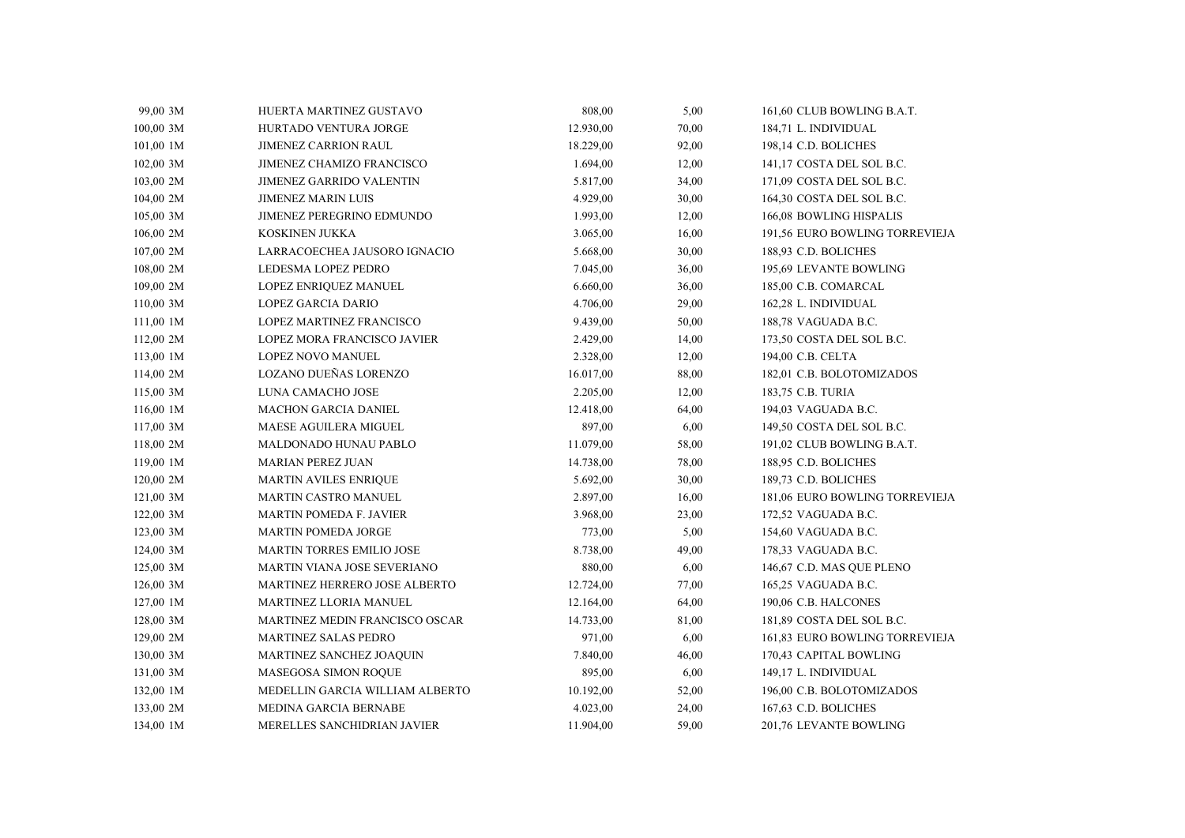| 99,00 3M    | HUERTA MARTINEZ GUSTAVO          | 808,00    | 5,00  | 161,60 CLUB BOWLING B.A.T.     |
|-------------|----------------------------------|-----------|-------|--------------------------------|
| 100,00 3M   | <b>HURTADO VENTURA JORGE</b>     | 12.930,00 | 70,00 | 184,71 L. INDIVIDUAL           |
| 101,00 1M   | <b>JIMENEZ CARRION RAUL</b>      | 18.229,00 | 92,00 | 198,14 C.D. BOLICHES           |
| 102,00 3M   | JIMENEZ CHAMIZO FRANCISCO        | 1.694,00  | 12,00 | 141,17 COSTA DEL SOL B.C.      |
| 103,00 2M   | <b>JIMENEZ GARRIDO VALENTIN</b>  | 5.817,00  | 34,00 | 171,09 COSTA DEL SOL B.C.      |
| 104,00 2M   | <b>JIMENEZ MARIN LUIS</b>        | 4.929,00  | 30,00 | 164,30 COSTA DEL SOL B.C.      |
| 105,00 3M   | JIMENEZ PEREGRINO EDMUNDO        | 1.993,00  | 12,00 | 166,08 BOWLING HISPALIS        |
| 106,00 2M   | KOSKINEN JUKKA                   | 3.065,00  | 16,00 | 191,56 EURO BOWLING TORREVIEJA |
| 107,00 2M   | LARRACOECHEA JAUSORO IGNACIO     | 5.668,00  | 30,00 | 188,93 C.D. BOLICHES           |
| 108,00 2M   | LEDESMA LOPEZ PEDRO              | 7.045,00  | 36,00 | 195,69 LEVANTE BOWLING         |
| 109,00 2M   | LOPEZ ENRIQUEZ MANUEL            | 6.660,00  | 36,00 | 185,00 C.B. COMARCAL           |
| 110,00 3M   | LOPEZ GARCIA DARIO               | 4.706,00  | 29,00 | 162,28 L. INDIVIDUAL           |
| 111,00 1M   | LOPEZ MARTINEZ FRANCISCO         | 9.439,00  | 50,00 | 188,78 VAGUADA B.C.            |
| 112,00 2M   | LOPEZ MORA FRANCISCO JAVIER      | 2.429,00  | 14,00 | 173,50 COSTA DEL SOL B.C.      |
| 113,00 1M   | LOPEZ NOVO MANUEL                | 2.328,00  | 12,00 | 194,00 C.B. CELTA              |
| 114,00 2M   | LOZANO DUEÑAS LORENZO            | 16.017,00 | 88,00 | 182,01 C.B. BOLOTOMIZADOS      |
| 115,00 3M   | LUNA CAMACHO JOSE                | 2.205,00  | 12,00 | 183,75 C.B. TURIA              |
| 116,00 1M   | <b>MACHON GARCIA DANIEL</b>      | 12.418,00 | 64,00 | 194,03 VAGUADA B.C.            |
| 117,00 3M   | MAESE AGUILERA MIGUEL            | 897,00    | 6,00  | 149,50 COSTA DEL SOL B.C.      |
| 118,00 2M   | MALDONADO HUNAU PABLO            | 11.079,00 | 58,00 | 191,02 CLUB BOWLING B.A.T.     |
| 119,00 1M   | <b>MARIAN PEREZ JUAN</b>         | 14.738,00 | 78,00 | 188,95 C.D. BOLICHES           |
| 120,00 2M   | <b>MARTIN AVILES ENRIQUE</b>     | 5.692,00  | 30,00 | 189,73 C.D. BOLICHES           |
| 121,00 3M   | MARTIN CASTRO MANUEL             | 2.897,00  | 16,00 | 181,06 EURO BOWLING TORREVIEJA |
| $122,00$ 3M | <b>MARTIN POMEDA F. JAVIER</b>   | 3.968,00  | 23,00 | 172,52 VAGUADA B.C.            |
| 123,00 3M   | <b>MARTIN POMEDA JORGE</b>       | 773,00    | 5,00  | 154,60 VAGUADA B.C.            |
| 124,00 3M   | <b>MARTIN TORRES EMILIO JOSE</b> | 8.738,00  | 49,00 | 178,33 VAGUADA B.C.            |
| 125,00 3M   | MARTIN VIANA JOSE SEVERIANO      | 880,00    | 6,00  | 146,67 C.D. MAS QUE PLENO      |
| 126,00 3M   | MARTINEZ HERRERO JOSE ALBERTO    | 12.724,00 | 77,00 | 165,25 VAGUADA B.C.            |
| 127,00 1M   | MARTINEZ LLORIA MANUEL           | 12.164,00 | 64,00 | 190,06 C.B. HALCONES           |
| 128,00 3M   | MARTINEZ MEDIN FRANCISCO OSCAR   | 14.733,00 | 81,00 | 181,89 COSTA DEL SOL B.C.      |
| 129,00 2M   | MARTINEZ SALAS PEDRO             | 971,00    | 6,00  | 161,83 EURO BOWLING TORREVIEJA |
| 130,00 3M   | MARTINEZ SANCHEZ JOAQUIN         | 7.840,00  | 46,00 | 170,43 CAPITAL BOWLING         |
| 131,00 3M   | MASEGOSA SIMON ROQUE             | 895,00    | 6,00  | 149,17 L. INDIVIDUAL           |
| 132,00 1M   | MEDELLIN GARCIA WILLIAM ALBERTO  | 10.192,00 | 52,00 | 196,00 C.B. BOLOTOMIZADOS      |
| 133,00 2M   | MEDINA GARCIA BERNABE            | 4.023,00  | 24,00 | 167,63 C.D. BOLICHES           |
| 134,00 1M   | MERELLES SANCHIDRIAN JAVIER      | 11.904,00 | 59,00 | 201,76 LEVANTE BOWLING         |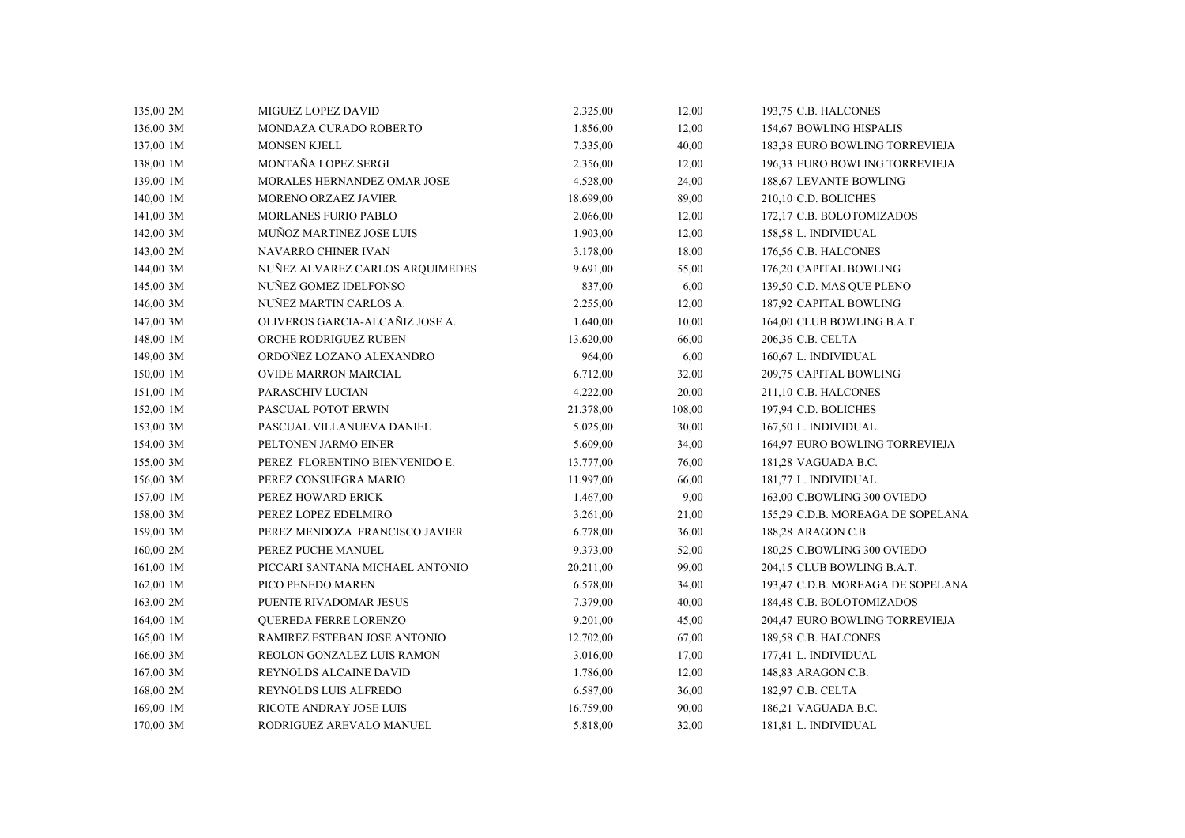| 135,00 2M | MIGUEZ LOPEZ DAVID              | 2.325,00  | 12,00  | 193,75 C.B. HALCONES              |
|-----------|---------------------------------|-----------|--------|-----------------------------------|
| 136,00 3M | MONDAZA CURADO ROBERTO          | 1.856,00  | 12,00  | 154,67 BOWLING HISPALIS           |
| 137,00 1M | <b>MONSEN KJELL</b>             | 7.335,00  | 40,00  | 183,38 EURO BOWLING TORREVIEJA    |
| 138,00 1M | MONTAÑA LOPEZ SERGI             | 2.356,00  | 12,00  | 196.33 EURO BOWLING TORREVIEJA    |
| 139,00 1M | MORALES HERNANDEZ OMAR JOSE     | 4.528,00  | 24,00  | 188,67 LEVANTE BOWLING            |
| 140,00 1M | MORENO ORZAEZ JAVIER            | 18.699,00 | 89,00  | 210,10 C.D. BOLICHES              |
| 141,00 3M | MORLANES FURIO PABLO            | 2.066,00  | 12,00  | 172,17 C.B. BOLOTOMIZADOS         |
| 142,00 3M | <b>MUÑOZ MARTINEZ JOSE LUIS</b> | 1.903,00  | 12,00  | 158,58 L. INDIVIDUAL              |
| 143,00 2M | NAVARRO CHINER IVAN             | 3.178,00  | 18,00  | 176,56 C.B. HALCONES              |
| 144,00 3M | NUÑEZ ALVAREZ CARLOS ARQUIMEDES | 9.691,00  | 55,00  | 176,20 CAPITAL BOWLING            |
| 145,00 3M | NUÑEZ GOMEZ IDELFONSO           | 837,00    | 6,00   | 139,50 C.D. MAS QUE PLENO         |
| 146,00 3M | NUÑEZ MARTIN CARLOS A.          | 2.255,00  | 12,00  | 187,92 CAPITAL BOWLING            |
| 147,00 3M | OLIVEROS GARCIA-ALCAÑIZ JOSE A. | 1.640,00  | 10,00  | 164,00 CLUB BOWLING B.A.T.        |
| 148,00 1M | ORCHE RODRIGUEZ RUBEN           | 13.620,00 | 66,00  | 206,36 C.B. CELTA                 |
| 149,00 3M | ORDOÑEZ LOZANO ALEXANDRO        | 964,00    | 6,00   | 160,67 L. INDIVIDUAL              |
| 150,00 1M | <b>OVIDE MARRON MARCIAL</b>     | 6.712,00  | 32,00  | 209,75 CAPITAL BOWLING            |
| 151,00 1M | PARASCHIV LUCIAN                | 4.222,00  | 20,00  | 211,10 C.B. HALCONES              |
| 152,00 1M | PASCUAL POTOT ERWIN             | 21.378,00 | 108,00 | 197,94 C.D. BOLICHES              |
| 153,00 3M | PASCUAL VILLANUEVA DANIEL       | 5.025,00  | 30,00  | 167,50 L. INDIVIDUAL              |
| 154,00 3M | PELTONEN JARMO EINER            | 5.609,00  | 34,00  | 164,97 EURO BOWLING TORREVIEJA    |
| 155,00 3M | PEREZ FLORENTINO BIENVENIDO E.  | 13.777,00 | 76,00  | 181,28 VAGUADA B.C.               |
| 156,00 3M | PEREZ CONSUEGRA MARIO           | 11.997,00 | 66,00  | 181,77 L. INDIVIDUAL              |
| 157,00 1M | PEREZ HOWARD ERICK              | 1.467,00  | 9,00   | 163,00 C.BOWLING 300 OVIEDO       |
| 158,00 3M | PEREZ LOPEZ EDELMIRO            | 3.261,00  | 21,00  | 155,29 C.D.B. MOREAGA DE SOPELANA |
| 159,00 3M | PEREZ MENDOZA FRANCISCO JAVIER  | 6.778,00  | 36,00  | 188,28 ARAGON C.B.                |
| 160,00 2M | PEREZ PUCHE MANUEL              | 9.373,00  | 52,00  | 180,25 C.BOWLING 300 OVIEDO       |
| 161,00 1M | PICCARI SANTANA MICHAEL ANTONIO | 20.211,00 | 99,00  | 204,15 CLUB BOWLING B.A.T.        |
| 162,00 1M | PICO PENEDO MAREN               | 6.578,00  | 34,00  | 193,47 C.D.B. MOREAGA DE SOPELANA |
| 163,00 2M | PUENTE RIVADOMAR JESUS          | 7.379,00  | 40,00  | 184,48 C.B. BOLOTOMIZADOS         |
| 164,00 1M | <b>OUEREDA FERRE LORENZO</b>    | 9.201,00  | 45,00  | 204,47 EURO BOWLING TORREVIEJA    |
| 165,00 1M | RAMIREZ ESTEBAN JOSE ANTONIO    | 12.702,00 | 67,00  | 189,58 C.B. HALCONES              |
| 166,00 3M | REOLON GONZALEZ LUIS RAMON      | 3.016,00  | 17,00  | 177,41 L. INDIVIDUAL              |
| 167,00 3M | REYNOLDS ALCAINE DAVID          | 1.786,00  | 12,00  | 148,83 ARAGON C.B.                |
| 168,00 2M | REYNOLDS LUIS ALFREDO           | 6.587,00  | 36,00  | 182,97 C.B. CELTA                 |
| 169,00 1M | RICOTE ANDRAY JOSE LUIS         | 16.759,00 | 90,00  | 186,21 VAGUADA B.C.               |
| 170,00 3M | RODRIGUEZ AREVALO MANUEL        | 5.818,00  | 32,00  | 181,81 L. INDIVIDUAL              |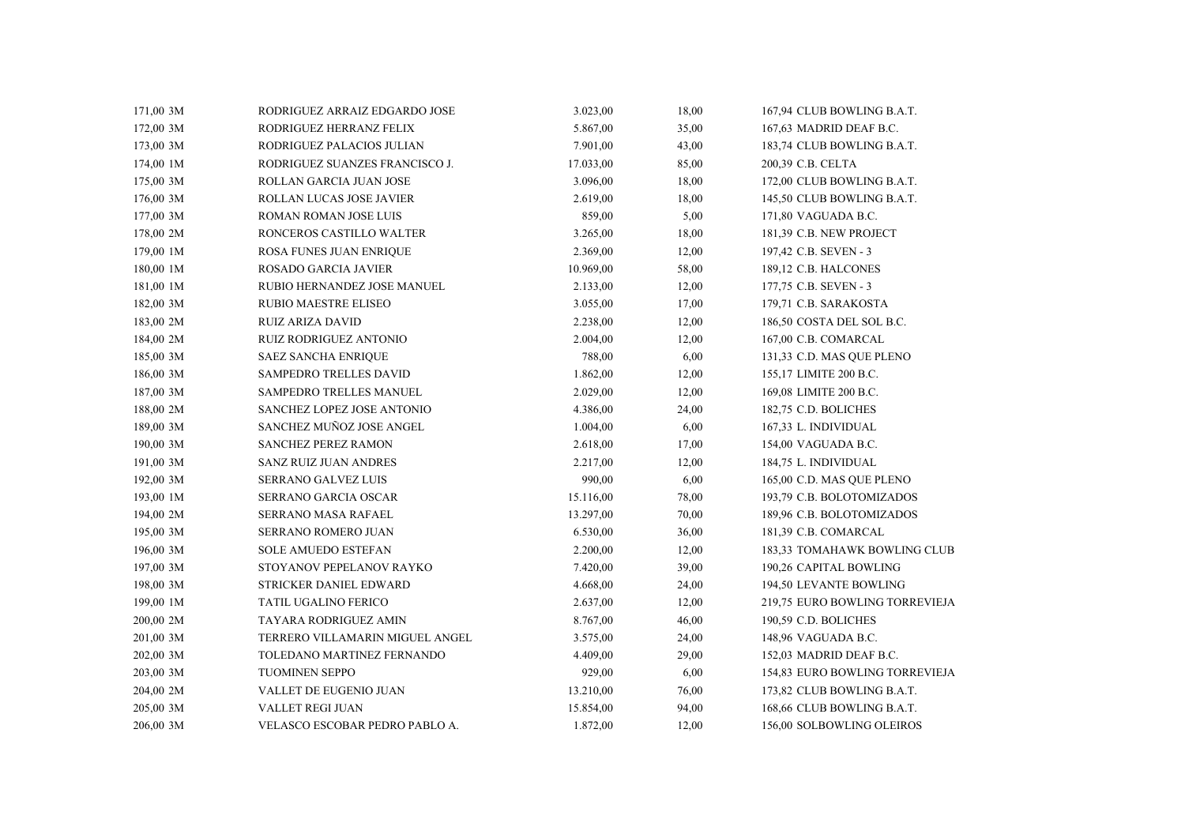| 171,00 3M | RODRIGUEZ ARRAIZ EDGARDO JOSE   | 3.023,00  | 18,00 | 167,94 CLUB BOWLING B.A.T.     |
|-----------|---------------------------------|-----------|-------|--------------------------------|
| 172,00 3M | RODRIGUEZ HERRANZ FELIX         | 5.867,00  | 35,00 | 167,63 MADRID DEAF B.C.        |
| 173,00 3M | RODRIGUEZ PALACIOS JULIAN       | 7.901,00  | 43,00 | 183,74 CLUB BOWLING B.A.T.     |
| 174,00 1M | RODRIGUEZ SUANZES FRANCISCO J.  | 17.033,00 | 85,00 | 200,39 C.B. CELTA              |
| 175,00 3M | ROLLAN GARCIA JUAN JOSE         | 3.096,00  | 18,00 | 172,00 CLUB BOWLING B.A.T.     |
| 176,00 3M | ROLLAN LUCAS JOSE JAVIER        | 2.619,00  | 18,00 | 145,50 CLUB BOWLING B.A.T.     |
| 177,00 3M | ROMAN ROMAN JOSE LUIS           | 859,00    | 5,00  | 171,80 VAGUADA B.C.            |
| 178,00 2M | RONCEROS CASTILLO WALTER        | 3.265,00  | 18,00 | 181,39 C.B. NEW PROJECT        |
| 179,00 1M | ROSA FUNES JUAN ENRIQUE         | 2.369,00  | 12,00 | 197,42 C.B. SEVEN - 3          |
| 180,00 1M | ROSADO GARCIA JAVIER            | 10.969,00 | 58,00 | 189,12 C.B. HALCONES           |
| 181,00 1M | RUBIO HERNANDEZ JOSE MANUEL     | 2.133,00  | 12,00 | 177,75 C.B. SEVEN - 3          |
| 182,00 3M | <b>RUBIO MAESTRE ELISEO</b>     | 3.055,00  | 17,00 | 179,71 C.B. SARAKOSTA          |
| 183,00 2M | <b>RUIZ ARIZA DAVID</b>         | 2.238,00  | 12,00 | 186,50 COSTA DEL SOL B.C.      |
| 184,00 2M | <b>RUIZ RODRIGUEZ ANTONIO</b>   | 2.004,00  | 12,00 | 167,00 C.B. COMARCAL           |
| 185,00 3M | <b>SAEZ SANCHA ENRIQUE</b>      | 788,00    | 6,00  | 131,33 C.D. MAS QUE PLENO      |
| 186,00 3M | SAMPEDRO TRELLES DAVID          | 1.862,00  | 12,00 | 155,17 LIMITE 200 B.C.         |
| 187,00 3M | SAMPEDRO TRELLES MANUEL         | 2.029,00  | 12,00 | 169,08 LIMITE 200 B.C.         |
| 188,00 2M | SANCHEZ LOPEZ JOSE ANTONIO      | 4.386,00  | 24,00 | 182,75 C.D. BOLICHES           |
| 189,00 3M | SANCHEZ MUÑOZ JOSE ANGEL        | 1.004,00  | 6,00  | 167,33 L. INDIVIDUAL           |
| 190,00 3M | SANCHEZ PEREZ RAMON             | 2.618,00  | 17,00 | 154,00 VAGUADA B.C.            |
| 191,00 3M | <b>SANZ RUIZ JUAN ANDRES</b>    | 2.217,00  | 12,00 | 184,75 L. INDIVIDUAL           |
| 192,00 3M | <b>SERRANO GALVEZ LUIS</b>      | 990,00    | 6,00  | 165,00 C.D. MAS QUE PLENO      |
| 193,00 1M | SERRANO GARCIA OSCAR            | 15.116,00 | 78,00 | 193,79 C.B. BOLOTOMIZADOS      |
| 194,00 2M | SERRANO MASA RAFAEL             | 13.297,00 | 70,00 | 189,96 C.B. BOLOTOMIZADOS      |
| 195,00 3M | SERRANO ROMERO JUAN             | 6.530,00  | 36,00 | 181,39 C.B. COMARCAL           |
| 196,00 3M | <b>SOLE AMUEDO ESTEFAN</b>      | 2.200,00  | 12,00 | 183,33 TOMAHAWK BOWLING CLUB   |
| 197,00 3M | STOYANOV PEPELANOV RAYKO        | 7.420,00  | 39,00 | 190,26 CAPITAL BOWLING         |
| 198,00 3M | STRICKER DANIEL EDWARD          | 4.668,00  | 24,00 | 194,50 LEVANTE BOWLING         |
| 199,00 1M | <b>TATIL UGALINO FERICO</b>     | 2.637,00  | 12,00 | 219,75 EURO BOWLING TORREVIEJA |
| 200,00 2M | TAYARA RODRIGUEZ AMIN           | 8.767,00  | 46,00 | 190,59 C.D. BOLICHES           |
| 201,00 3M | TERRERO VILLAMARIN MIGUEL ANGEL | 3.575,00  | 24,00 | 148,96 VAGUADA B.C.            |
| 202,00 3M | TOLEDANO MARTINEZ FERNANDO      | 4.409,00  | 29,00 | 152,03 MADRID DEAF B.C.        |
| 203,00 3M | TUOMINEN SEPPO                  | 929,00    | 6,00  | 154,83 EURO BOWLING TORREVIEJA |
| 204,00 2M | VALLET DE EUGENIO JUAN          | 13.210,00 | 76,00 | 173,82 CLUB BOWLING B.A.T.     |
| 205,00 3M | <b>VALLET REGI JUAN</b>         | 15.854,00 | 94,00 | 168,66 CLUB BOWLING B.A.T.     |
| 206,00 3M | VELASCO ESCOBAR PEDRO PABLO A.  | 1.872,00  | 12,00 | 156,00 SOLBOWLING OLEIROS      |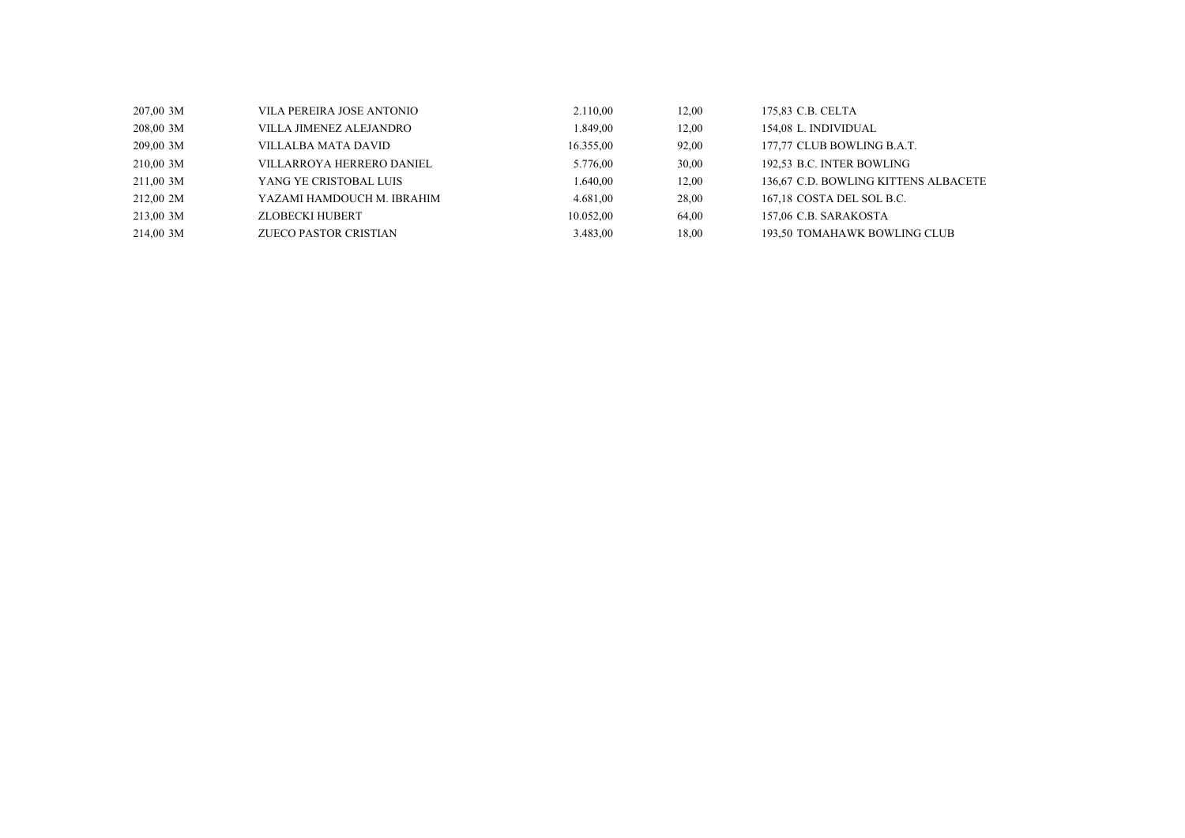| $207,00$ 3M | VILA PEREIRA JOSE ANTONIO  | 2.110,00  | 12.00 | 175.83 C.B. CELTA                    |
|-------------|----------------------------|-----------|-------|--------------------------------------|
| 208,00 3M   | VILLA JIMENEZ ALEJANDRO-   | .849,00   | 12,00 | 154.08 L. INDIVIDUAL                 |
| 209,00 3M   | VILLALBA MATA DAVID-       | 16.355,00 | 92,00 | 177,77 CLUB BOWLING B.A.T.           |
| 210,00 3M   | VILLARROYA HERRERO DANIEL  | 5.776,00  | 30,00 | 192,53 B.C. INTER BOWLING            |
| 211,00 3M   | YANG YE CRISTOBAL LUIS     | .640,00   | 12.00 | 136.67 C.D. BOWLING KITTENS ALBACETE |
| 212,00 2M   | YAZAMI HAMDOUCH M. IBRAHIM | 4.681,00  | 28,00 | 167.18 COSTA DEL SOL B.C.            |
| 213,00 3M   | ZLOBECKI HUBERT            | 10.052,00 | 64.00 | 157.06 C.B. SARAKOSTA                |
| 214,00 3M   | ZUECO PASTOR CRISTIAN      | 3.483,00  | 18,00 | 193,50 TOMAHAWK BOWLING CLUB         |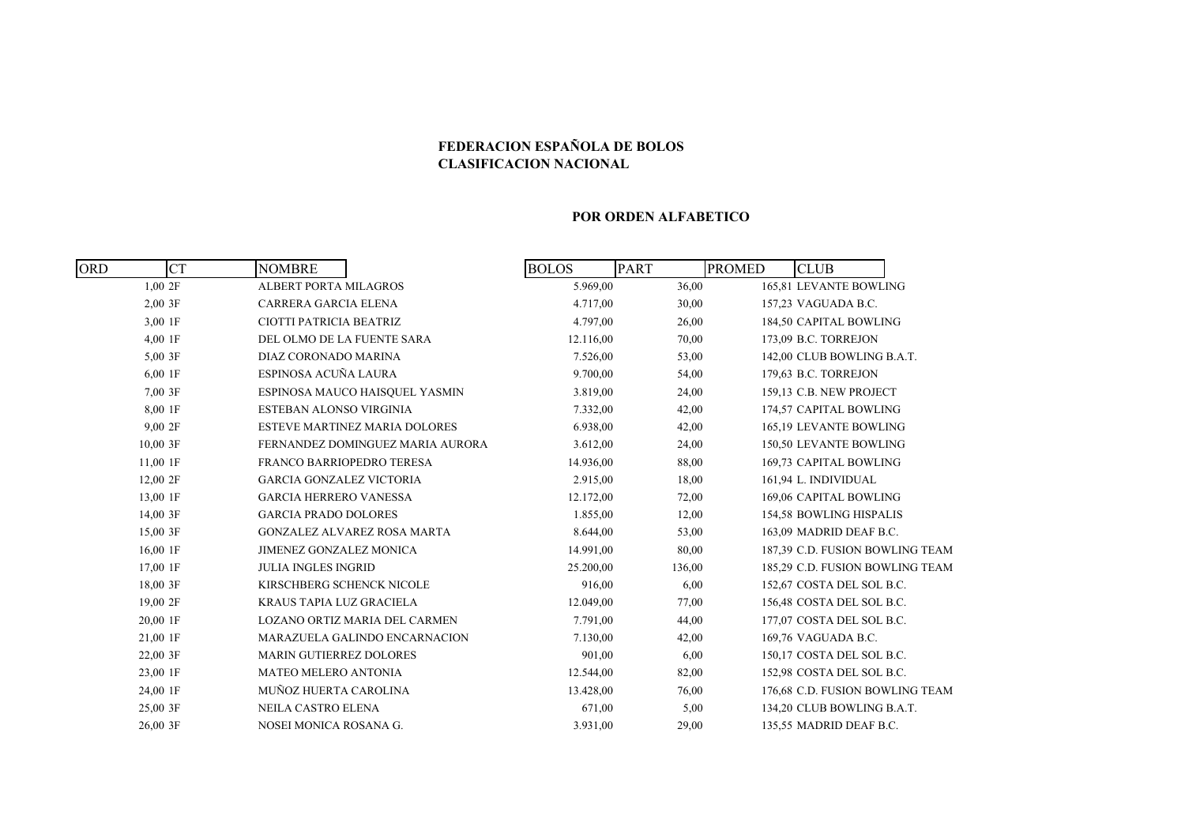## **FEDERACION ESPAÑOLA DE BOLOS CLASIFICACION NACIONAL**

#### **POR ORDEN ALFABETICO**

| <b>ORD</b> | <b>CT</b><br><b>NOMBRE</b> |                                      | <b>BOLOS</b> | <b>PART</b> | <b>PROMED</b> | <b>CLUB</b>                     |  |
|------------|----------------------------|--------------------------------------|--------------|-------------|---------------|---------------------------------|--|
| 1,002F     |                            | <b>ALBERT PORTA MILAGROS</b>         | 5.969,00     | 36,00       |               | 165,81 LEVANTE BOWLING          |  |
| $2,00$ 3F  |                            | CARRERA GARCIA ELENA                 | 4.717,00     | 30,00       |               | 157,23 VAGUADA B.C.             |  |
| 3,00 1F    |                            | CIOTTI PATRICIA BEATRIZ              | 4.797,00     | 26,00       |               | 184,50 CAPITAL BOWLING          |  |
| 4,00 1F    |                            | DEL OLMO DE LA FUENTE SARA           | 12.116,00    | 70,00       |               | 173,09 B.C. TORREJON            |  |
| 5,00 3F    |                            | DIAZ CORONADO MARINA                 | 7.526,00     | 53,00       |               | 142,00 CLUB BOWLING B.A.T.      |  |
| $6,00$ 1F  |                            | ESPINOSA ACUÑA LAURA                 | 9.700,00     | 54,00       |               | 179,63 B.C. TORREJON            |  |
| 7,00 3F    |                            | ESPINOSA MAUCO HAISQUEL YASMIN       | 3.819,00     | 24,00       |               | 159,13 C.B. NEW PROJECT         |  |
| 8,00 1F    |                            | ESTEBAN ALONSO VIRGINIA              | 7.332,00     | 42,00       |               | 174,57 CAPITAL BOWLING          |  |
| 9,00 2F    |                            | <b>ESTEVE MARTINEZ MARIA DOLORES</b> | 6.938,00     | 42,00       |               | 165,19 LEVANTE BOWLING          |  |
| 10,00 3F   |                            | FERNANDEZ DOMINGUEZ MARIA AURORA     | 3.612,00     | 24,00       |               | 150,50 LEVANTE BOWLING          |  |
| $11,00$ 1F |                            | FRANCO BARRIOPEDRO TERESA            | 14.936,00    | 88,00       |               | 169,73 CAPITAL BOWLING          |  |
| 12,00 2F   |                            | <b>GARCIA GONZALEZ VICTORIA</b>      | 2.915,00     | 18,00       |               | 161,94 L. INDIVIDUAL            |  |
| 13,00 1F   |                            | <b>GARCIA HERRERO VANESSA</b>        | 12.172,00    | 72,00       |               | 169,06 CAPITAL BOWLING          |  |
| 14,00 3F   |                            | <b>GARCIA PRADO DOLORES</b>          | 1.855,00     | 12,00       |               | 154,58 BOWLING HISPALIS         |  |
| 15,00 3F   |                            | <b>GONZALEZ ALVAREZ ROSA MARTA</b>   | 8.644,00     | 53,00       |               | 163,09 MADRID DEAF B.C.         |  |
| 16,00 1F   |                            | JIMENEZ GONZALEZ MONICA              | 14.991,00    | 80,00       |               | 187,39 C.D. FUSION BOWLING TEAM |  |
| 17,00 1F   |                            | <b>JULIA INGLES INGRID</b>           | 25.200,00    | 136,00      |               | 185,29 C.D. FUSION BOWLING TEAM |  |
| 18,00 3F   |                            | KIRSCHBERG SCHENCK NICOLE            | 916,00       | 6,00        |               | 152,67 COSTA DEL SOL B.C.       |  |
| 19,00 2F   |                            | <b>KRAUS TAPIA LUZ GRACIELA</b>      | 12.049,00    | 77,00       |               | 156,48 COSTA DEL SOL B.C.       |  |
| 20,00 1F   |                            | LOZANO ORTIZ MARIA DEL CARMEN        | 7.791,00     | 44,00       |               | 177,07 COSTA DEL SOL B.C.       |  |
| 21,00 1F   |                            | MARAZUELA GALINDO ENCARNACION        | 7.130,00     | 42,00       |               | 169,76 VAGUADA B.C.             |  |
| 22,00 3F   |                            | <b>MARIN GUTIERREZ DOLORES</b>       | 901,00       | 6,00        |               | 150,17 COSTA DEL SOL B.C.       |  |
| 23,00 1F   |                            | <b>MATEO MELERO ANTONIA</b>          | 12.544,00    | 82,00       |               | 152,98 COSTA DEL SOL B.C.       |  |
| 24,00 1F   |                            | MUÑOZ HUERTA CAROLINA                | 13.428,00    | 76,00       |               | 176,68 C.D. FUSION BOWLING TEAM |  |
| 25,00 3F   |                            | <b>NEILA CASTRO ELENA</b>            | 671,00       | 5,00        |               | 134,20 CLUB BOWLING B.A.T.      |  |
| 26,00 3F   |                            | NOSEI MONICA ROSANA G.               | 3.931,00     | 29,00       |               | 135,55 MADRID DEAF B.C.         |  |
|            |                            |                                      |              |             |               |                                 |  |